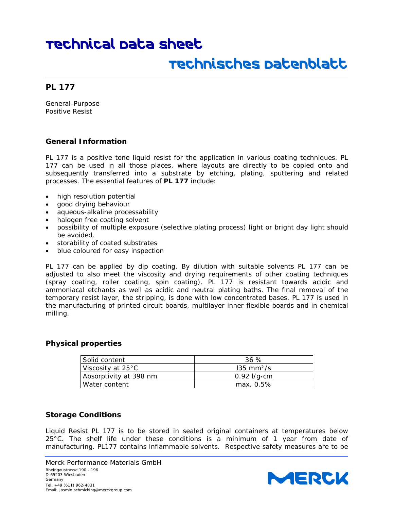## Technisches Datenblatt

#### **PL 177**

General-Purpose Positive Resist

#### **General Information**

*PL 177* is a positive tone liquid resist for the application in various coating techniques. *PL 177* can be used in all those places, where layouts are directly to be copied onto and subsequently transferred into a substrate by etching, plating, sputtering and related processes. The essential features of **PL 177** include:

- high resolution potential
- good drying behaviour
- aqueous-alkaline processability
- halogen free coating solvent
- possibility of multiple exposure (selective plating process) light or bright day light should be avoided.
- storability of coated substrates
- blue coloured for easy inspection

*PL 177* can be applied by dip coating. By dilution with suitable solvents *PL 177* can be adjusted to also meet the viscosity and drying requirements of other coating techniques (spray coating, roller coating, spin coating). *PL 177* is resistant towards acidic and ammoniacal etchants as well as acidic and neutral plating baths. The final removal of the temporary resist layer, the stripping, is done with low concentrated bases. *PL 177* is used in the manufacturing of printed circuit boards, multilayer inner flexible boards and in chemical milling.

#### **Physical properties**

| Solid content          | 36 %                  |
|------------------------|-----------------------|
| Viscosity at 25°C      | $135 \text{ mm}^2$ /s |
|                        | 0.92 $1/q$ cm         |
| Water content          | $max. 0.5\%$          |
| Absorptivity at 398 nm |                       |

#### **Storage Conditions**

Liquid Resist *PL 177* is to be stored in sealed original containers at temperatures below 25°C. The shelf life under these conditions is a minimum of 1 year from date of manufacturing. *PL177* contains inflammable solvents. Respective safety measures are to be

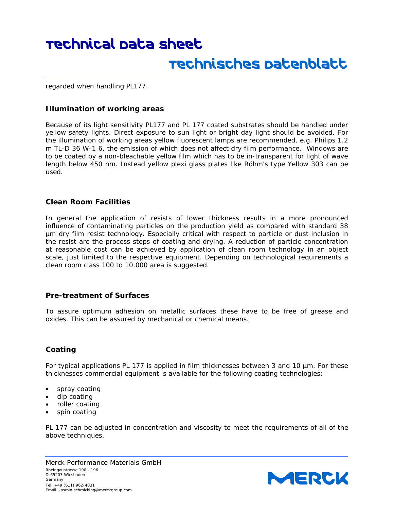### Technisches Datenblatt

regarded when handling *PL177*.

#### **Illumination of working areas**

Because of its light sensitivity *PL177* and *PL 177* coated substrates should be handled under yellow safety lights. Direct exposure to sun light or bright day light should be avoided. For the illumination of working areas yellow fluorescent lamps are recommended, e.g. Philips 1.2 m TL-D 36 W-1 6, the emission of which does not affect dry film performance. Windows are to be coated by a non-bleachable yellow film which has to be in-transparent for light of wave length below 450 nm. Instead yellow plexi glass plates like Röhm's type Yellow 303 can be used.

#### **Clean Room Facilities**

In general the application of resists of lower thickness results in a more pronounced influence of contaminating particles on the production yield as compared with standard 38 µm dry film resist technology. Especially critical with respect to particle or dust inclusion in the resist are the process steps of coating and drying. A reduction of particle concentration at reasonable cost can be achieved by application of clean room technology in an object scale, just limited to the respective equipment. Depending on technological requirements a clean room class 100 to 10.000 area is suggested.

#### **Pre-treatment of Surfaces**

To assure optimum adhesion on metallic surfaces these have to be free of grease and oxides. This can be assured by mechanical or chemical means.

#### **Coating**

For typical applications *PL 177* is applied in film thicknesses between 3 and 10 µm. For these thicknesses commercial equipment is available for the following coating technologies:

- spray coating
- dip coating
- roller coating
- spin coating

*PL 177* can be adjusted in concentration and viscosity to meet the requirements of all of the above techniques.

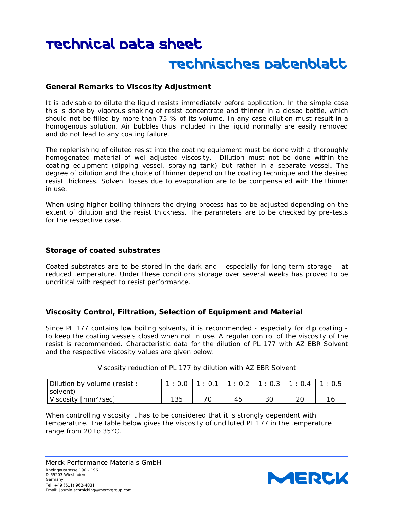#### **General Remarks to Viscosity Adjustment**

It is advisable to dilute the liquid resists immediately before application. In the simple case this is done by vigorous shaking of resist concentrate and thinner in a closed bottle, which should not be filled by more than 75 % of its volume. In any case dilution must result in a homogenous solution. Air bubbles thus included in the liquid normally are easily removed and do not lead to any coating failure.

The replenishing of diluted resist into the coating equipment must be done with a thoroughly homogenated material of well-adjusted viscosity. Dilution must not be done within the coating equipment (dipping vessel, spraying tank) but rather in a separate vessel. The degree of dilution and the choice of thinner depend on the coating technique and the desired resist thickness. Solvent losses due to evaporation are to be compensated with the thinner in use.

When using higher boiling thinners the drying process has to be adjusted depending on the extent of dilution and the resist thickness. The parameters are to be checked by pre-tests for the respective case.

#### **Storage of coated substrates**

Coated substrates are to be stored in the dark and - especially for long term storage – at reduced temperature. Under these conditions storage over several weeks has proved to be uncritical with respect to resist performance.

#### **Viscosity Control, Filtration, Selection of Equipment and Material**

Since *PL 177* contains low boiling solvents, it is recommended - especially for dip coating to keep the coating vessels closed when not in use. A regular control of the viscosity of the resist is recommended. Characteristic data for the dilution of *PL 177* with *AZ EBR Solvent* and the respective viscosity values are given below.

| Dilution by volume (resist:      |     |     | $1: 0.0$   1 : 0.1   1 : 0.2   1 : 0.3   1 : 0.4 |  |  |
|----------------------------------|-----|-----|--------------------------------------------------|--|--|
| solvent)                         |     |     |                                                  |  |  |
| Viscosity [mm <sup>2</sup> /sec] | 135 | 70. |                                                  |  |  |

Viscosity reduction of *PL 177* by dilution with *AZ EBR Solvent*

When controlling viscosity it has to be considered that it is strongly dependent with temperature. The table below gives the viscosity of undiluted *PL 177* in the temperature range from 20 to 35°C.

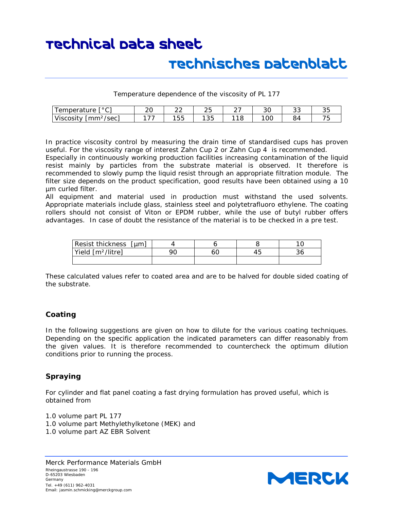## Technisches Datenblatt

Temperature dependence of the viscosity of *PL 177*

| $\Gamma$ $\circ$ $\cap$ $\Gamma$<br>mperature:<br>↩<br>ັ<br>ັ | ້  | $\sim$<br>__     | $\sim$ $-$<br>້     |                                   | ົ<br>◡◡ | ັບ      | <b>--</b><br>ັ |
|---------------------------------------------------------------|----|------------------|---------------------|-----------------------------------|---------|---------|----------------|
| $\cdot$<br>$\sim$<br>mm<br>'sec<br>$\sim$<br>VISCOSIL<br>.    | -- | $ -$<br>hh<br>ັບ | $\sim$ $\sim$<br>ູບ | $\overline{ }$<br>$\sqrt{2}$<br>∼ | OC      | ∍∸<br>◡ | --             |

In practice viscosity control by measuring the drain time of standardised cups has proven useful. For the viscosity range of interest *Zahn Cup 2* or *Zahn Cup 4* is recommended.

Especially in continuously working production facilities increasing contamination of the liquid resist mainly by particles from the substrate material is observed. It therefore is recommended to slowly pump the liquid resist through an appropriate filtration module. The filter size depends on the product specification, good results have been obtained using a 10 µm curled filter.

All equipment and material used in production must withstand the used solvents. Appropriate materials include glass, stainless steel and polytetrafluoro ethylene. The coating rollers should not consist of Viton or EPDM rubber, while the use of butyl rubber offers advantages. In case of doubt the resistance of the material is to be checked in a pre test.

| Resist thickness [µm]         |  |  |
|-------------------------------|--|--|
| Yield [m <sup>2</sup> /litre] |  |  |
|                               |  |  |

These calculated values refer to coated area and are to be halved for double sided coating of the substrate.

#### **Coating**

In the following suggestions are given on how to dilute for the various coating techniques. Depending on the specific application the indicated parameters can differ reasonably from the given values. It is therefore recommended to countercheck the optimum dilution conditions prior to running the process.

#### **Spraying**

For cylinder and flat panel coating a fast drying formulation has proved useful, which is obtained from

1.0 volume part *PL 177* 1.0 volume part Methylethylketone (MEK) and 1.0 volume part *AZ EBR Solvent*

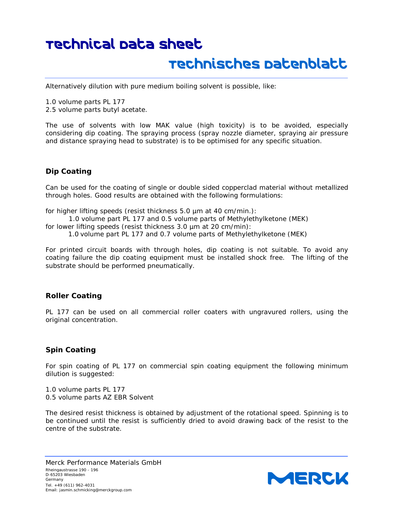### Technisches Datenblatt

Alternatively dilution with pure medium boiling solvent is possible, like:

1.0 volume parts *PL 177* 2.5 volume parts butyl acetate.

The use of solvents with low MAK value (high toxicity) is to be avoided, especially considering dip coating. The spraying process (spray nozzle diameter, spraying air pressure and distance spraying head to substrate) is to be optimised for any specific situation.

#### **Dip Coating**

Can be used for the coating of single or double sided copperclad material without metallized through holes. Good results are obtained with the following formulations:

for higher lifting speeds (resist thickness 5.0 µm at 40 cm/min.):

1.0 volume part *PL 177* and 0.5 volume parts of Methylethylketone (MEK)

for lower lifting speeds (resist thickness 3.0 µm at 20 cm/min):

1.0 volume part *PL 177* and 0.7 volume parts of Methylethylketone (MEK)

For printed circuit boards with through holes, dip coating is not suitable. To avoid any coating failure the dip coating equipment must be installed shock free. The lifting of the substrate should be performed pneumatically.

#### **Roller Coating**

*PL 177* can be used on all commercial roller coaters with ungravured rollers, using the original concentration.

#### **Spin Coating**

For spin coating of *PL 177* on commercial spin coating equipment the following minimum dilution is suggested:

1.0 volume parts *PL 177* 0.5 volume parts *AZ EBR Solvent*

The desired resist thickness is obtained by adjustment of the rotational speed. Spinning is to be continued until the resist is sufficiently dried to avoid drawing back of the resist to the centre of the substrate.

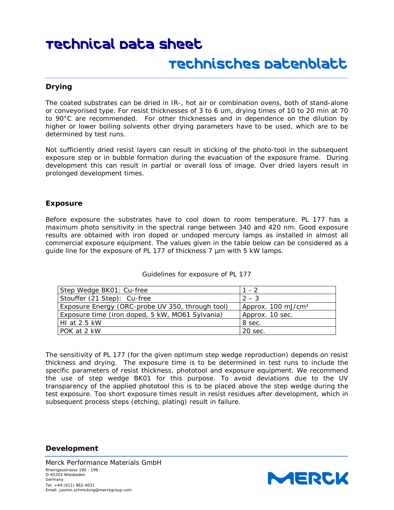## Technisches Datenblatt

#### **Drying**

The coated substrates can be dried in IR-, hot air or combination ovens, both of stand-alone or conveyorised type. For resist thicknesses of 3 to 6 um, drying times of 10 to 20 min at 70 to 90°C are recommended. For other thicknesses and in dependence on the dilution by higher or lower boiling solvents other drying parameters have to be used, which are to be determined by test runs.

Not sufficiently dried resist layers can result in sticking of the photo-tool in the subsequent exposure step or in bubble formation during the evacuation of the exposure frame. During development this can result in partial or overall loss of image. Over dried layers result in prolonged development times.

#### **Exposure**

Before exposure the substrates have to cool down to room temperature. *PL 177* has a maximum photo sensitivity in the spectral range between 340 and 420 nm. Good exposure results are obtained with iron doped or undoped mercury lamps as installed in almost all commercial exposure equipment. The values given in the table below can be considered as a guide line for the exposure of *PL 177* of thickness 7 µm with 5 kW lamps.

| Step Wedge BK01: Cu-free                         | $1 - 2$                       |
|--------------------------------------------------|-------------------------------|
| Stouffer (21 Step): Cu-free                      | $2 - 3$                       |
| Exposure Energy (ORC-probe UV 350, through tool) | Approx. $100 \text{ mJ/cm}^2$ |
| Exposure time (iron doped, 5 kW, MO61 Sylvania)  | Approx. 10 sec.               |
| HI at $2.5$ kW                                   | 8 sec.                        |
| POK at 2 kW                                      | 20 sec.                       |

Guidelines for exposure of *PL 177*

The sensitivity of *PL 177* (for the given optimum step wedge reproduction) depends on resist thickness and drying. The exposure time is to be determined in test runs to include the specific parameters of resist thickness, phototool and exposure equipment. We recommend the use of step wedge BK01 for this purpose. To avoid deviations due to the UV transparency of the applied phototool this is to be placed above the step wedge during the test exposure. Too short exposure times result in resist residues after development, which in subsequent process steps (etching, plating) result in failure.

#### **Development**

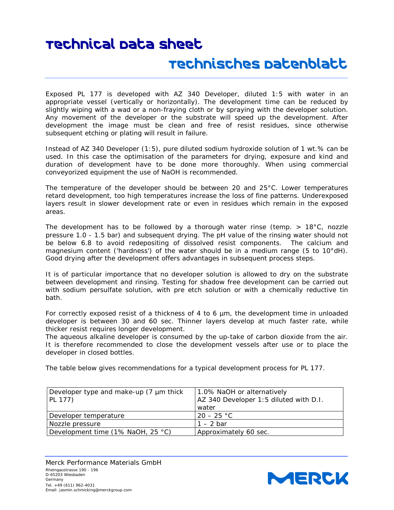## Technisches Datenblatt

Exposed *PL 177* is developed with *AZ 340 Developer*, diluted 1:5 with water in an appropriate vessel (vertically or horizontally). The development time can be reduced by slightly wiping with a wad or a non-fraying cloth or by spraying with the developer solution. Any movement of the developer or the substrate will speed up the development. After development the image must be clean and free of resist residues, since otherwise subsequent etching or plating will result in failure.

Instead of *AZ 340 Developer* (1:5), pure diluted sodium hydroxide solution of 1 wt.% can be used. In this case the optimisation of the parameters for drying, exposure and kind and duration of development have to be done more thoroughly. When using commercial conveyorized equipment the use of NaOH is recommended.

The temperature of the developer should be between 20 and 25°C. Lower temperatures retard development, too high temperatures increase the loss of fine patterns. Underexposed layers result in slower development rate or even in residues which remain in the exposed areas.

The development has to be followed by a thorough water rinse (temp.  $> 18^{\circ}$ C, nozzle pressure 1.0 - 1.5 bar) and subsequent drying. The pH value of the rinsing water should not be below 6.8 to avoid redepositing of dissolved resist components. The calcium and magnesium content ('hardness') of the water should be in a medium range (5 to 10°dH). Good drying after the development offers advantages in subsequent process steps.

It is of particular importance that no developer solution is allowed to dry on the substrate between development and rinsing. Testing for shadow free development can be carried out with sodium persulfate solution, with pre etch solution or with a chemically reductive tin bath.

For correctly exposed resist of a thickness of 4 to 6 µm, the development time in unloaded developer is between 30 and 60 sec. Thinner layers develop at much faster rate, while thicker resist requires longer development.

The aqueous alkaline developer is consumed by the up-take of carbon dioxide from the air. It is therefore recommended to close the development vessels after use or to place the developer in closed bottles.

The table below gives recommendations for a typical development process for *PL 177*.

| Developer type and make-up (7 µm thick<br>PL 177) | 1.0% NaOH or alternatively<br>AZ 340 Developer 1:5 diluted with D.I. |
|---------------------------------------------------|----------------------------------------------------------------------|
|                                                   | water                                                                |
| Developer temperature                             | $20 - 25 °C$                                                         |
| Nozzle pressure                                   | $1 - 2$ bar                                                          |
| Development time (1% NaOH, 25 °C)                 | Approximately 60 sec.                                                |

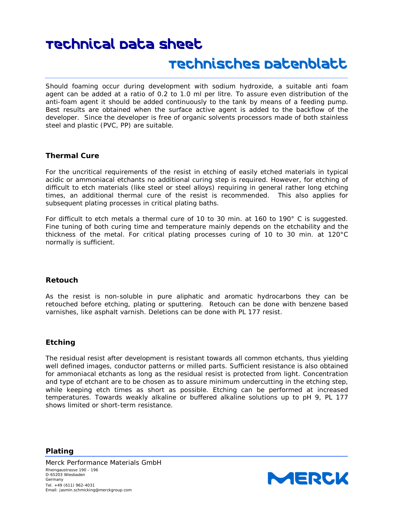Should foaming occur during development with sodium hydroxide, a suitable anti foam agent can be added at a ratio of 0.2 to 1.0 ml per litre. To assure even distribution of the anti-foam agent it should be added continuously to the tank by means of a feeding pump. Best results are obtained when the surface active agent is added to the backflow of the developer. Since the developer is free of organic solvents processors made of both stainless steel and plastic (PVC, PP) are suitable.

#### **Thermal Cure**

For the uncritical requirements of the resist in etching of easily etched materials in typical acidic or ammoniacal etchants no additional curing step is required. However, for etching of difficult to etch materials (like steel or steel alloys) requiring in general rather long etching times, an additional thermal cure of the resist is recommended. This also applies for subsequent plating processes in critical plating baths.

For difficult to etch metals a thermal cure of 10 to 30 min. at 160 to 190° C is suggested. Fine tuning of both curing time and temperature mainly depends on the etchability and the thickness of the metal. For critical plating processes curing of 10 to 30 min. at 120°C normally is sufficient.

#### **Retouch**

As the resist is non-soluble in pure aliphatic and aromatic hydrocarbons they can be retouched before etching, plating or sputtering. Retouch can be done with benzene based varnishes, like asphalt varnish. Deletions can be done with *PL 177* resist.

#### **Etching**

**Plating**

The residual resist after development is resistant towards all common etchants, thus yielding well defined images, conductor patterns or milled parts. Sufficient resistance is also obtained for ammoniacal etchants as long as the residual resist is protected from light. Concentration and type of etchant are to be chosen as to assure minimum undercutting in the etching step, while keeping etch times as short as possible. Etching can be performed at increased temperatures. Towards weakly alkaline or buffered alkaline solutions up to pH 9, *PL 177* shows limited or short-term resistance.

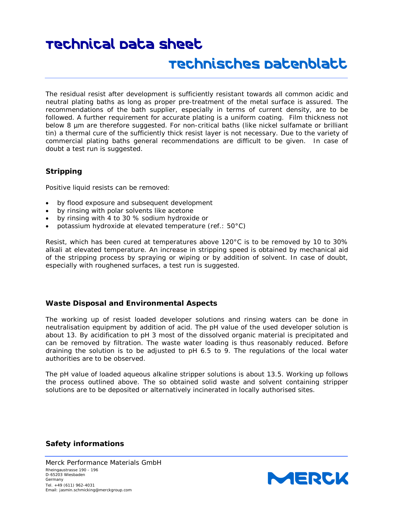The residual resist after development is sufficiently resistant towards all common acidic and neutral plating baths as long as proper pre-treatment of the metal surface is assured. The recommendations of the bath supplier, especially in terms of current density, are to be followed. A further requirement for accurate plating is a uniform coating. Film thickness not below 8 µm are therefore suggested. For non-critical baths (like nickel sulfamate or brilliant tin) a thermal cure of the sufficiently thick resist layer is not necessary. Due to the variety of commercial plating baths general recommendations are difficult to be given. In case of doubt a test run is suggested.

#### **Stripping**

Positive liquid resists can be removed:

- by flood exposure and subsequent development
- by rinsing with polar solvents like acetone
- by rinsing with 4 to 30 % sodium hydroxide or
- potassium hydroxide at elevated temperature (ref.: 50°C)

Resist, which has been cured at temperatures above 120°C is to be removed by 10 to 30% alkali at elevated temperature. An increase in stripping speed is obtained by mechanical aid of the stripping process by spraying or wiping or by addition of solvent. In case of doubt, especially with roughened surfaces, a test run is suggested.

#### **Waste Disposal and Environmental Aspects**

The working up of resist loaded developer solutions and rinsing waters can be done in neutralisation equipment by addition of acid. The pH value of the used developer solution is about 13. By acidification to pH 3 most of the dissolved organic material is precipitated and can be removed by filtration. The waste water loading is thus reasonably reduced. Before draining the solution is to be adjusted to pH 6.5 to 9. The regulations of the local water authorities are to be observed.

The pH value of loaded aqueous alkaline stripper solutions is about 13.5. Working up follows the process outlined above. The so obtained solid waste and solvent containing stripper solutions are to be deposited or alternatively incinerated in locally authorised sites.

#### **Safety informations**